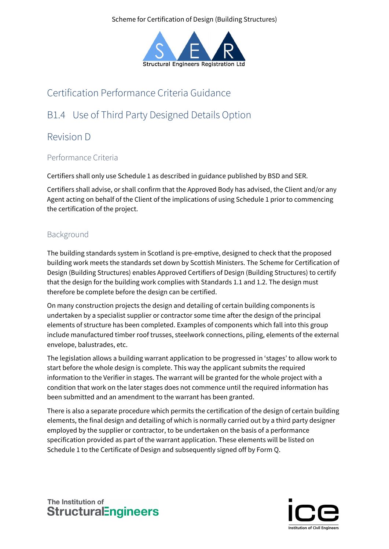Scheme for Certification of Design (Building Structures)



# Certification Performance Criteria Guidance

# B1.4 Use of Third Party Designed Details Option

## Revision D

## Performance Criteria

Certifiers shall only use Schedule 1 as described in guidance published by BSD and SER.

Certifiers shall advise, or shall confirm that the Approved Body has advised, the Client and/or any Agent acting on behalf of the Client of the implications of using Schedule 1 prior to commencing the certification of the project.

## Background

The building standards system in Scotland is pre-emptive, designed to check that the proposed building work meets the standards set down by Scottish Ministers. The Scheme for Certification of Design (Building Structures) enables Approved Certifiers of Design (Building Structures) to certify that the design for the building work complies with Standards 1.1 and 1.2. The design must therefore be complete before the design can be certified.

On many construction projects the design and detailing of certain building components is undertaken by a specialist supplier or contractor some time after the design of the principal elements of structure has been completed. Examples of components which fall into this group include manufactured timber roof trusses, steelwork connections, piling, elements of the external envelope, balustrades, etc.

The legislation allows a building warrant application to be progressed in 'stages' to allow work to start before the whole design is complete. This way the applicant submits the required information to the Verifier in stages. The warrant will be granted for the whole project with a condition that work on the later stages does not commence until the required information has been submitted and an amendment to the warrant has been granted.

There is also a separate procedure which permits the certification of the design of certain building elements, the final design and detailing of which is normally carried out by a third party designer employed by the supplier or contractor, to be undertaken on the basis of a performance specification provided as part of the warrant application. These elements will be listed on Schedule 1 to the Certificate of Design and subsequently signed off by Form Q.

The Institution of **StructuralEngineers** 

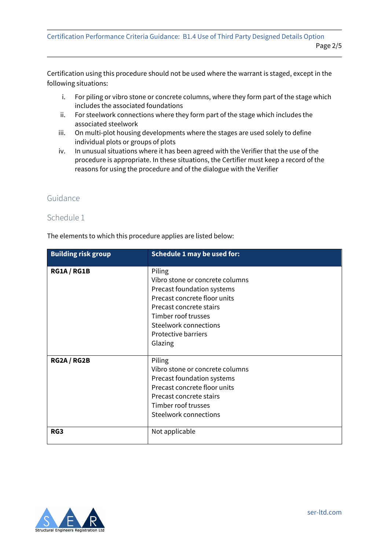Certification using this procedure should not be used where the warrant is staged, except in the following situations:

- i. For piling or vibro stone or concrete columns, where they form part of the stage which includes the associated foundations
- ii. For steelwork connections where they form part of the stage which includes the associated steelwork
- iii. On multi-plot housing developments where the stages are used solely to define individual plots or groups of plots
- iv. In unusual situations where it has been agreed with the Verifier that the use of the procedure is appropriate. In these situations, the Certifier must keep a record of the reasons for using the procedure and of the dialogue with the Verifier

#### Guidance

#### Schedule 1

The elements to which this procedure applies are listed below:

| <b>Building risk group</b> | <b>Schedule 1 may be used for:</b> |
|----------------------------|------------------------------------|
| RG1A / RG1B                | Piling                             |
|                            | Vibro stone or concrete columns    |
|                            | Precast foundation systems         |
|                            | Precast concrete floor units       |
|                            | Precast concrete stairs            |
|                            | Timber roof trusses                |
|                            | <b>Steelwork connections</b>       |
|                            | <b>Protective barriers</b>         |
|                            | Glazing                            |
|                            |                                    |
| RG2A / RG2B                | Piling                             |
|                            | Vibro stone or concrete columns    |
|                            | Precast foundation systems         |
|                            | Precast concrete floor units       |
|                            | Precast concrete stairs            |
|                            | Timber roof trusses                |
|                            | <b>Steelwork connections</b>       |
| RG3                        | Not applicable                     |

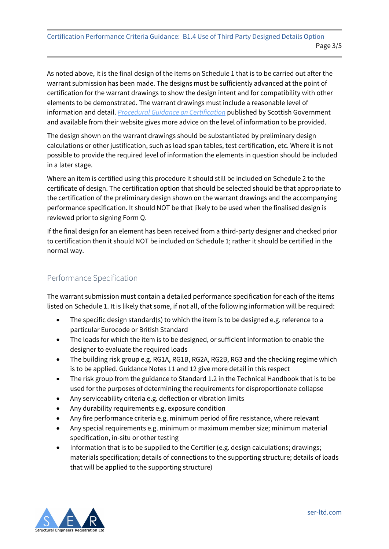As noted above, it is the final design of the items on Schedule 1 that is to be carried out after the warrant submission has been made. The designs must be sufficiently advanced at the point of certification for the warrant drawings to show the design intent and for compatibility with other elements to be demonstrated. The warrant drawings must include a reasonable level of information and detail. *[Procedural Guidance on Certification](http://www.gov.scot/Resource/0051/00512890.pdf)* published by Scottish Government and available from their website gives more advice on the level of information to be provided.

The design shown on the warrant drawings should be substantiated by preliminary design calculations or other justification, such as load span tables, test certification, etc. Where it is not possible to provide the required level of information the elements in question should be included in a later stage.

Where an item is certified using this procedure it should still be included on Schedule 2 to the certificate of design. The certification option that should be selected should be that appropriate to the certification of the preliminary design shown on the warrant drawings and the accompanying performance specification. It should NOT be that likely to be used when the finalised design is reviewed prior to signing Form Q.

If the final design for an element has been received from a third-party designer and checked prior to certification then it should NOT be included on Schedule 1; rather it should be certified in the normal way.

## Performance Specification

The warrant submission must contain a detailed performance specification for each of the items listed on Schedule 1. It is likely that some, if not all, of the following information will be required:

- The specific design standard(s) to which the item is to be designed e.g. reference to a particular Eurocode or British Standard
- The loads for which the item is to be designed, or sufficient information to enable the designer to evaluate the required loads
- The building risk group e.g. RG1A, RG1B, RG2A, RG2B, RG3 and the checking regime which is to be applied. Guidance Notes 11 and 12 give more detail in this respect
- The risk group from the guidance to Standard 1.2 in the Technical Handbook that is to be used for the purposes of determining the requirements for disproportionate collapse
- Any serviceability criteria e.g. deflection or vibration limits
- Any durability requirements e.g. exposure condition
- Any fire performance criteria e.g. minimum period of fire resistance, where relevant
- Any special requirements e.g. minimum or maximum member size; minimum material specification, in-situ or other testing
- Information that is to be supplied to the Certifier (e.g. design calculations; drawings; materials specification; details of connections to the supporting structure; details of loads that will be applied to the supporting structure)

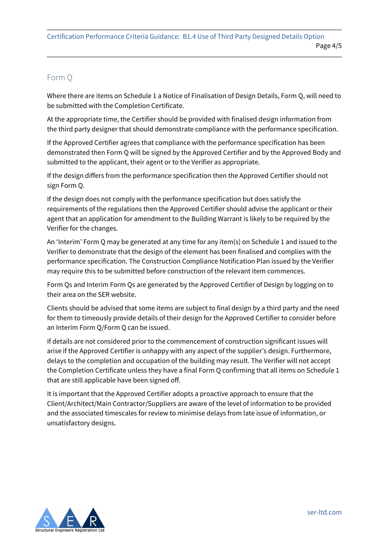#### Form Q

Where there are items on Schedule 1 a Notice of Finalisation of Design Details, Form Q, will need to be submitted with the Completion Certificate.

At the appropriate time, the Certifier should be provided with finalised design information from the third party designer that should demonstrate compliance with the performance specification.

If the Approved Certifier agrees that compliance with the performance specification has been demonstrated then Form Q will be signed by the Approved Certifier and by the Approved Body and submitted to the applicant, their agent or to the Verifier as appropriate.

If the design differs from the performance specification then the Approved Certifier should not sign Form Q.

If the design does not comply with the performance specification but does satisfy the requirements of the regulations then the Approved Certifier should advise the applicant or their agent that an application for amendment to the Building Warrant is likely to be required by the Verifier for the changes.

An 'Interim' Form Q may be generated at any time for any item(s) on Schedule 1 and issued to the Verifier to demonstrate that the design of the element has been finalised and complies with the performance specification. The Construction Compliance Notification Plan issued by the Verifier may require this to be submitted before construction of the relevant item commences.

Form Qs and Interim Form Qs are generated by the Approved Certifier of Design by logging on to their area on the SER website.

Clients should be advised that some items are subject to final design by a third party and the need for them to timeously provide details of their design for the Approved Certifier to consider before an Interim Form Q/Form Q can be issued.

If details are not considered prior to the commencement of construction significant issues will arise if the Approved Certifier is unhappy with any aspect of the supplier's design. Furthermore, delays to the completion and occupation of the building may result. The Verifier will not accept the Completion Certificate unless they have a final Form Q confirming that all items on Schedule 1 that are still applicable have been signed off.

It is important that the Approved Certifier adopts a proactive approach to ensure that the Client/Architect/Main Contractor/Suppliers are aware of the level of information to be provided and the associated timescales for review to minimise delays from late issue of information, or unsatisfactory designs.